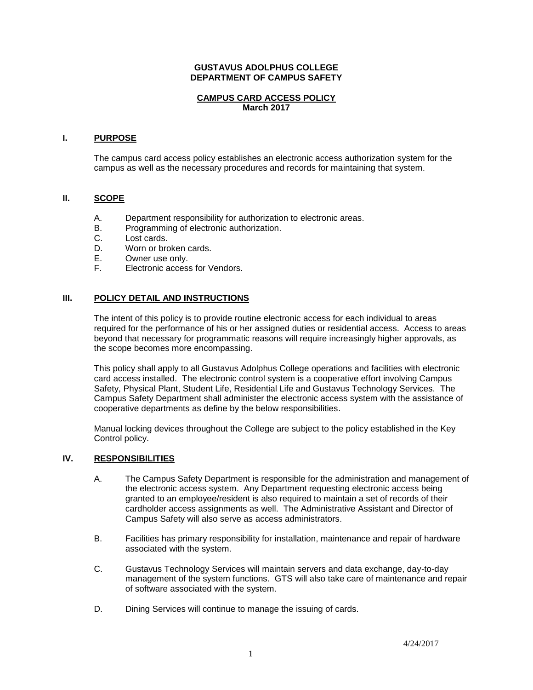## **GUSTAVUS ADOLPHUS COLLEGE DEPARTMENT OF CAMPUS SAFETY**

# **CAMPUS CARD ACCESS POLICY March 2017**

## **I. PURPOSE**

The campus card access policy establishes an electronic access authorization system for the campus as well as the necessary procedures and records for maintaining that system.

### **II. SCOPE**

- A. Department responsibility for authorization to electronic areas.
- B. Programming of electronic authorization.
- C. Lost cards.
- D. Worn or broken cards.
- E. Owner use only.<br>F. Electronic access
- Electronic access for Vendors.

## **III. POLICY DETAIL AND INSTRUCTIONS**

The intent of this policy is to provide routine electronic access for each individual to areas required for the performance of his or her assigned duties or residential access. Access to areas beyond that necessary for programmatic reasons will require increasingly higher approvals, as the scope becomes more encompassing.

This policy shall apply to all Gustavus Adolphus College operations and facilities with electronic card access installed. The electronic control system is a cooperative effort involving Campus Safety, Physical Plant, Student Life, Residential Life and Gustavus Technology Services. The Campus Safety Department shall administer the electronic access system with the assistance of cooperative departments as define by the below responsibilities.

Manual locking devices throughout the College are subject to the policy established in the Key Control policy.

#### **IV. RESPONSIBILITIES**

- A. The Campus Safety Department is responsible for the administration and management of the electronic access system. Any Department requesting electronic access being granted to an employee/resident is also required to maintain a set of records of their cardholder access assignments as well. The Administrative Assistant and Director of Campus Safety will also serve as access administrators.
- B. Facilities has primary responsibility for installation, maintenance and repair of hardware associated with the system.
- C. Gustavus Technology Services will maintain servers and data exchange, day-to-day management of the system functions. GTS will also take care of maintenance and repair of software associated with the system.
- D. Dining Services will continue to manage the issuing of cards.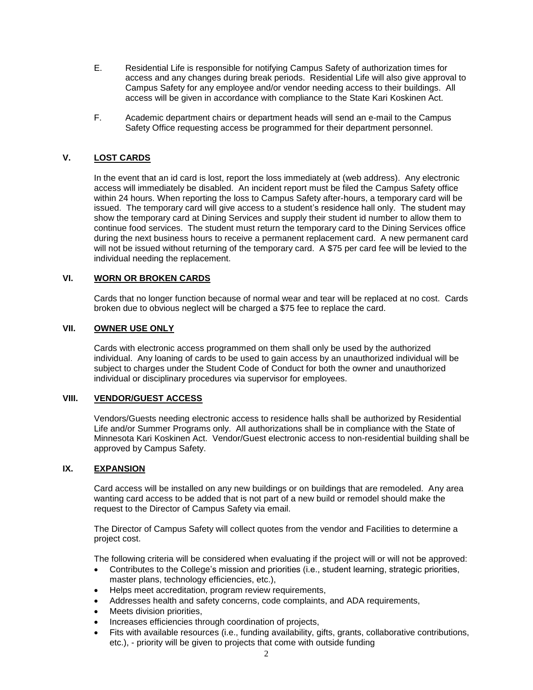- E. Residential Life is responsible for notifying Campus Safety of authorization times for access and any changes during break periods. Residential Life will also give approval to Campus Safety for any employee and/or vendor needing access to their buildings. All access will be given in accordance with compliance to the State Kari Koskinen Act.
- F. Academic department chairs or department heads will send an e-mail to the Campus Safety Office requesting access be programmed for their department personnel.

# **V. LOST CARDS**

In the event that an id card is lost, report the loss immediately at (web address). Any electronic access will immediately be disabled. An incident report must be filed the Campus Safety office within 24 hours. When reporting the loss to Campus Safety after-hours, a temporary card will be issued. The temporary card will give access to a student's residence hall only. The student may show the temporary card at Dining Services and supply their student id number to allow them to continue food services. The student must return the temporary card to the Dining Services office during the next business hours to receive a permanent replacement card. A new permanent card will not be issued without returning of the temporary card. A \$75 per card fee will be levied to the individual needing the replacement.

# **VI. WORN OR BROKEN CARDS**

Cards that no longer function because of normal wear and tear will be replaced at no cost. Cards broken due to obvious neglect will be charged a \$75 fee to replace the card.

# **VII. OWNER USE ONLY**

Cards with electronic access programmed on them shall only be used by the authorized individual. Any loaning of cards to be used to gain access by an unauthorized individual will be subject to charges under the Student Code of Conduct for both the owner and unauthorized individual or disciplinary procedures via supervisor for employees.

# **VIII. VENDOR/GUEST ACCESS**

Vendors/Guests needing electronic access to residence halls shall be authorized by Residential Life and/or Summer Programs only. All authorizations shall be in compliance with the State of Minnesota Kari Koskinen Act. Vendor/Guest electronic access to non-residential building shall be approved by Campus Safety.

## **IX. EXPANSION**

Card access will be installed on any new buildings or on buildings that are remodeled. Any area wanting card access to be added that is not part of a new build or remodel should make the request to the Director of Campus Safety via email.

The Director of Campus Safety will collect quotes from the vendor and Facilities to determine a project cost.

The following criteria will be considered when evaluating if the project will or will not be approved:

- Contributes to the College's mission and priorities (i.e., student learning, strategic priorities, master plans, technology efficiencies, etc.),
- Helps meet accreditation, program review requirements,
- Addresses health and safety concerns, code complaints, and ADA requirements,
- Meets division priorities,
- Increases efficiencies through coordination of projects,
- Fits with available resources (i.e., funding availability, gifts, grants, collaborative contributions, etc.), - priority will be given to projects that come with outside funding